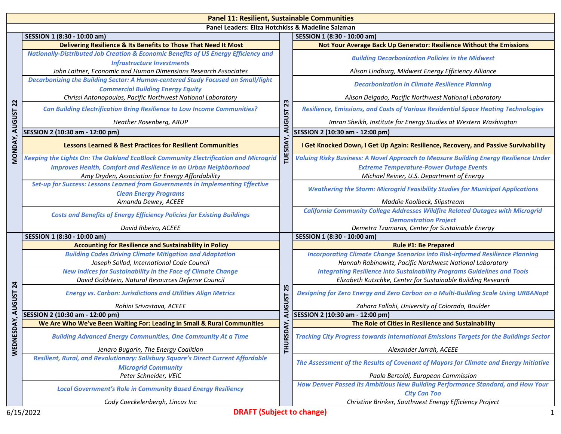| <b>Panel 11: Resilient, Sustainable Communities</b> |                                                                                                                          |                                              |                                                                                                                                                  |  |
|-----------------------------------------------------|--------------------------------------------------------------------------------------------------------------------------|----------------------------------------------|--------------------------------------------------------------------------------------------------------------------------------------------------|--|
| Panel Leaders: Eliza Hotchkiss & Madeline Salzman   |                                                                                                                          |                                              |                                                                                                                                                  |  |
|                                                     | SESSION 1 (8:30 - 10:00 am)                                                                                              |                                              | SESSION 1 (8:30 - 10:00 am)                                                                                                                      |  |
| $\mathbf{z}$                                        | Delivering Resilience & Its Benefits to Those That Need It Most                                                          | 23<br><b>AUGUST</b><br>TUESDAY,              | Not Your Average Back Up Generator: Resilience Without the Emissions                                                                             |  |
|                                                     | Nationally-Distributed Job Creation & Economic Benefits of US Energy Efficiency and<br><b>Infrastructure Investments</b> |                                              | <b>Building Decarbonization Policies in the Midwest</b>                                                                                          |  |
|                                                     | John Laitner, Economic and Human Dimensions Research Associates                                                          |                                              | Alison Lindburg, Midwest Energy Efficiency Alliance                                                                                              |  |
|                                                     | Decarbonizing the Building Sector: A Human-centered Study Focused on Small/light                                         |                                              | <b>Decarbonization in Climate Resilience Planning</b>                                                                                            |  |
|                                                     | <b>Commercial Building Energy Equity</b><br>Chrissi Antonopoulos, Pacific Northwest National Laboratory                  |                                              | Alison Delgado, Pacific Northwest National Laboratory                                                                                            |  |
|                                                     |                                                                                                                          |                                              |                                                                                                                                                  |  |
|                                                     | <b>Can Building Electrification Bring Resilience to Low Income Communities?</b>                                          |                                              | Resilience, Emissions, and Costs of Various Residential Space Heating Technologies                                                               |  |
|                                                     | Heather Rosenberg, ARUP                                                                                                  |                                              | Imran Sheikh, Institute for Energy Studies at Western Washington                                                                                 |  |
|                                                     | SESSION 2 (10:30 am - 12:00 pm)                                                                                          |                                              | SESSION 2 (10:30 am - 12:00 pm)                                                                                                                  |  |
| MONDAY, AUGUST                                      | <b>Lessons Learned &amp; Best Practices for Resilient Communities</b>                                                    |                                              | I Get Knocked Down, I Get Up Again: Resilience, Recovery, and Passive Survivability                                                              |  |
|                                                     | <b>Keeping the Lights On: The Oakland EcoBlock Community Electrification and Microgrid</b>                               |                                              | Valuing Risky Business: A Novel Approach to Measure Building Energy Resilience Under                                                             |  |
|                                                     | <b>Improves Health, Comfort and Resilience in an Urban Neighborhood</b>                                                  |                                              | <b>Extreme Temperature-Power Outage Events</b>                                                                                                   |  |
|                                                     | Amy Dryden, Association for Energy Affordability                                                                         |                                              | Michael Reiner, U.S. Department of Energy                                                                                                        |  |
|                                                     | Set-up for Success: Lessons Learned from Governments in Implementing Effective<br><b>Clean Energy Programs</b>           |                                              | <b>Weathering the Storm: Microgrid Feasibility Studies for Municipal Applications</b>                                                            |  |
|                                                     | Amanda Dewey, ACEEE                                                                                                      |                                              | Maddie Koolbeck, Slipstream                                                                                                                      |  |
|                                                     |                                                                                                                          |                                              | <b>California Community College Addresses Wildfire Related Outages with Microgrid</b>                                                            |  |
|                                                     | <b>Costs and Benefits of Energy Efficiency Policies for Existing Buildings</b>                                           |                                              | <b>Demonstration Project</b>                                                                                                                     |  |
|                                                     | David Ribeiro, ACEEE                                                                                                     |                                              | Demetra Tzamaras, Center for Sustainable Energy                                                                                                  |  |
|                                                     | SESSION 1 (8:30 - 10:00 am)                                                                                              |                                              | SESSION 1 (8:30 - 10:00 am)                                                                                                                      |  |
|                                                     | <b>Accounting for Resilience and Sustainability in Policy</b>                                                            | 25<br><b>AUGUST</b><br>DAY,<br><b>THURSI</b> | <b>Rule #1: Be Prepared</b>                                                                                                                      |  |
| $\overline{24}$<br><b>AUGUST</b>                    | <b>Building Codes Driving Climate Mitigation and Adaptation</b><br>Joseph Sollod, International Code Council             |                                              | <b>Incorporating Climate Change Scenarios into Risk-informed Resilience Planning</b><br>Hannah Rabinowitz, Pacific Northwest National Laboratory |  |
|                                                     | <b>New Indices for Sustainability in the Face of Climate Change</b>                                                      |                                              | <b>Integrating Resilience into Sustainability Programs Guidelines and Tools</b>                                                                  |  |
|                                                     | David Goldstein, Natural Resources Defense Council                                                                       |                                              | Elizabeth Kutschke, Center for Sustainable Building Research                                                                                     |  |
|                                                     | <b>Energy vs. Carbon: Jurisdictions and Utilities Align Metrics</b>                                                      |                                              | Designing for Zero Energy and Zero Carbon on a Multi-Building Scale Using URBANopt                                                               |  |
|                                                     | Rohini Srivastava, ACEEE                                                                                                 |                                              | Zahara Fallahi, University of Colorado, Boulder                                                                                                  |  |
|                                                     | SESSION 2 (10:30 am - 12:00 pm)                                                                                          |                                              | SESSION 2 (10:30 am - 12:00 pm)                                                                                                                  |  |
| DAY,                                                | We Are Who We've Been Waiting For: Leading in Small & Rural Communities                                                  |                                              | The Role of Cities in Resilience and Sustainability                                                                                              |  |
| WEDNES                                              | <b>Building Advanced Energy Communities, One Community At a Time</b>                                                     |                                              | Tracking City Progress towards International Emissions Targets for the Buildings Sector                                                          |  |
|                                                     | Jenaro Bugarin, The Energy Coalition                                                                                     |                                              | Alexander Jarrah, ACEEE                                                                                                                          |  |
|                                                     | Resilient, Rural, and Revolutionary: Salisbury Square's Direct Current Affordable                                        |                                              | The Assessment of the Results of Covenant of Mayors for Climate and Energy Initiative                                                            |  |
|                                                     | <b>Microgrid Community</b>                                                                                               |                                              |                                                                                                                                                  |  |
|                                                     | Peter Schneider, VEIC                                                                                                    |                                              | Paolo Bertoldi, European Commission                                                                                                              |  |
|                                                     | <b>Local Government's Role in Community Based Energy Resiliency</b>                                                      |                                              | How Denver Passed its Ambitious New Building Performance Standard, and How Your<br><b>City Can Too</b>                                           |  |
|                                                     | Cody Coeckelenbergh, Lincus Inc                                                                                          |                                              | Christine Brinker, Southwest Energy Efficiency Project                                                                                           |  |
|                                                     | <b>DRAFT (Subject to change)</b><br>6/15/2022                                                                            |                                              |                                                                                                                                                  |  |